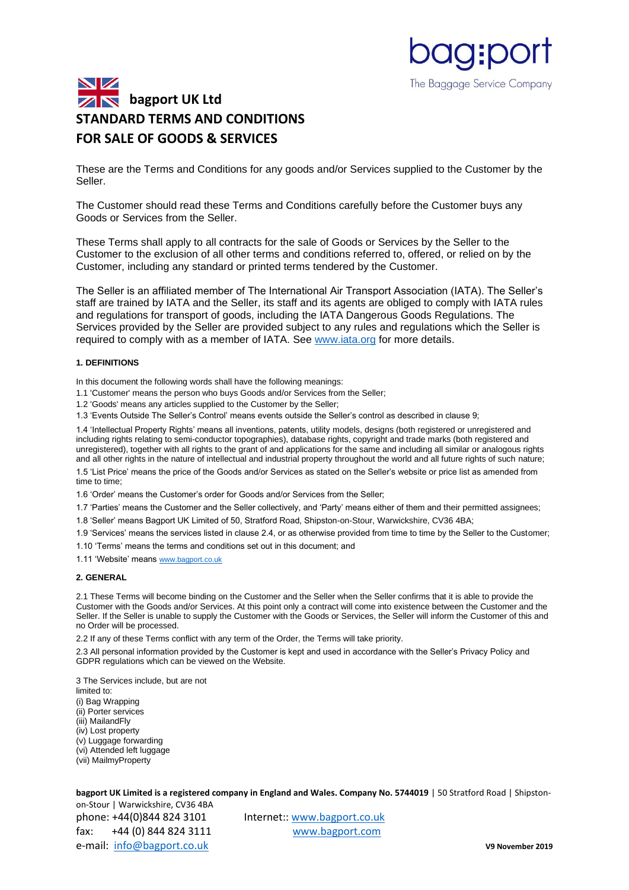

These are the Terms and Conditions for any goods and/or Services supplied to the Customer by the Seller.

**pag:po** 

The Baggage Service Company

The Customer should read these Terms and Conditions carefully before the Customer buys any Goods or Services from the Seller.

These Terms shall apply to all contracts for the sale of Goods or Services by the Seller to the Customer to the exclusion of all other terms and conditions referred to, offered, or relied on by the Customer, including any standard or printed terms tendered by the Customer.

The Seller is an affiliated member of The International Air Transport Association (IATA). The Seller's staff are trained by IATA and the Seller, its staff and its agents are obliged to comply with IATA rules and regulations for transport of goods, including the IATA Dangerous Goods Regulations. The Services provided by the Seller are provided subject to any rules and regulations which the Seller is required to comply with as a member of IATA. See [www.iata.org](http://www.iata.org/) for more details.

#### **1. DEFINITIONS**

In this document the following words shall have the following meanings:

- 1.1 'Customer' means the person who buys Goods and/or Services from the Seller;
- 1.2 'Goods' means any articles supplied to the Customer by the Seller;

1.3 'Events Outside The Seller's Control' means events outside the Seller's control as described in clause 9;

1.4 'Intellectual Property Rights' means all inventions, patents, utility models, designs (both registered or unregistered and including rights relating to semi-conductor topographies), database rights, copyright and trade marks (both registered and unregistered), together with all rights to the grant of and applications for the same and including all similar or analogous rights and all other rights in the nature of intellectual and industrial property throughout the world and all future rights of such nature;

1.5 'List Price' means the price of the Goods and/or Services as stated on the Seller's website or price list as amended from time to time;

1.6 'Order' means the Customer's order for Goods and/or Services from the Seller;

1.7 'Parties' means the Customer and the Seller collectively, and 'Party' means either of them and their permitted assignees;

1.8 'Seller' means Bagport UK Limited of 50, Stratford Road, Shipston-on-Stour, Warwickshire, CV36 4BA;

1.9 'Services' means the services listed in clause 2.4, or as otherwise provided from time to time by the Seller to the Customer;

1.10 'Terms' means the terms and conditions set out in this document; and

1.11 'Website' means [www.bagport.co.uk](http://www.bagport.co.uk/)

# **2. GENERAL**

2.1 These Terms will become binding on the Customer and the Seller when the Seller confirms that it is able to provide the Customer with the Goods and/or Services. At this point only a contract will come into existence between the Customer and the Seller. If the Seller is unable to supply the Customer with the Goods or Services, the Seller will inform the Customer of this and no Order will be processed.

2.2 If any of these Terms conflict with any term of the Order, the Terms will take priority.

2.3 All personal information provided by the Customer is kept and used in accordance with the Seller's Privacy Policy and GDPR regulations which can be viewed on the Website.

3 The Services include, but are not limited to: (i) Bag Wrapping (ii) Porter services (iii) MailandFly (iv) Lost property (v) Luggage forwarding (vi) Attended left luggage (vii) MailmyProperty

**bagport UK Limited is a registered company in England and Wales. Company No. 5744019 | 50 Stratford Road | Shipston-**

on-Stour | Warwickshire, CV36 4BA phone: +44(0)844 824 3101 Internet:: [www.bagport.co.uk](http://www.bagport.co.uk/) fax: +44 (0) 844 824 3111 [www.bagport.com](http://www.bagport.com/)  e-mail: [info@bagport.co.uk](mailto:info@bagport.co.uk) **V9 November 2019**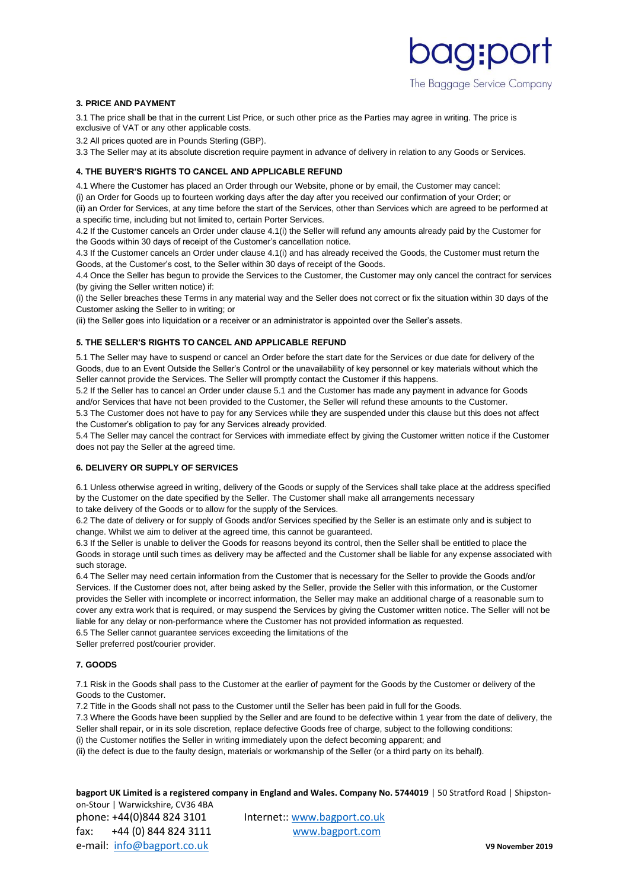# agipo The Baggage Service Company

#### **3. PRICE AND PAYMENT**

3.1 The price shall be that in the current List Price, or such other price as the Parties may agree in writing. The price is exclusive of VAT or any other applicable costs.

3.2 All prices quoted are in Pounds Sterling (GBP).

3.3 The Seller may at its absolute discretion require payment in advance of delivery in relation to any Goods or Services.

# **4. THE BUYER'S RIGHTS TO CANCEL AND APPLICABLE REFUND**

4.1 Where the Customer has placed an Order through our Website, phone or by email, the Customer may cancel:

(i) an Order for Goods up to fourteen working days after the day after you received our confirmation of your Order; or

(ii) an Order for Services, at any time before the start of the Services, other than Services which are agreed to be performed at a specific time, including but not limited to, certain Porter Services.

4.2 If the Customer cancels an Order under clause 4.1(i) the Seller will refund any amounts already paid by the Customer for the Goods within 30 days of receipt of the Customer's cancellation notice.

4.3 If the Customer cancels an Order under clause 4.1(i) and has already received the Goods, the Customer must return the Goods, at the Customer's cost, to the Seller within 30 days of receipt of the Goods.

4.4 Once the Seller has begun to provide the Services to the Customer, the Customer may only cancel the contract for services (by giving the Seller written notice) if:

(i) the Seller breaches these Terms in any material way and the Seller does not correct or fix the situation within 30 days of the Customer asking the Seller to in writing; or

(ii) the Seller goes into liquidation or a receiver or an administrator is appointed over the Seller's assets.

# **5. THE SELLER'S RIGHTS TO CANCEL AND APPLICABLE REFUND**

5.1 The Seller may have to suspend or cancel an Order before the start date for the Services or due date for delivery of the Goods, due to an Event Outside the Seller's Control or the unavailability of key personnel or key materials without which the Seller cannot provide the Services. The Seller will promptly contact the Customer if this happens.

5.2 If the Seller has to cancel an Order under clause 5.1 and the Customer has made any payment in advance for Goods and/or Services that have not been provided to the Customer, the Seller will refund these amounts to the Customer.

5.3 The Customer does not have to pay for any Services while they are suspended under this clause but this does not affect the Customer's obligation to pay for any Services already provided.

5.4 The Seller may cancel the contract for Services with immediate effect by giving the Customer written notice if the Customer does not pay the Seller at the agreed time.

#### **6. DELIVERY OR SUPPLY OF SERVICES**

6.1 Unless otherwise agreed in writing, delivery of the Goods or supply of the Services shall take place at the address specified by the Customer on the date specified by the Seller. The Customer shall make all arrangements necessary to take delivery of the Goods or to allow for the supply of the Services.

6.2 The date of delivery or for supply of Goods and/or Services specified by the Seller is an estimate only and is subject to change. Whilst we aim to deliver at the agreed time, this cannot be guaranteed.

6.3 If the Seller is unable to deliver the Goods for reasons beyond its control, then the Seller shall be entitled to place the Goods in storage until such times as delivery may be affected and the Customer shall be liable for any expense associated with such storage.

6.4 The Seller may need certain information from the Customer that is necessary for the Seller to provide the Goods and/or Services. If the Customer does not, after being asked by the Seller, provide the Seller with this information, or the Customer provides the Seller with incomplete or incorrect information, the Seller may make an additional charge of a reasonable sum to cover any extra work that is required, or may suspend the Services by giving the Customer written notice. The Seller will not be liable for any delay or non-performance where the Customer has not provided information as requested.

6.5 The Seller cannot guarantee services exceeding the limitations of the

Seller preferred post/courier provider.

### **7. GOODS**

7.1 Risk in the Goods shall pass to the Customer at the earlier of payment for the Goods by the Customer or delivery of the Goods to the Customer.

7.2 Title in the Goods shall not pass to the Customer until the Seller has been paid in full for the Goods.

7.3 Where the Goods have been supplied by the Seller and are found to be defective within 1 year from the date of delivery, the Seller shall repair, or in its sole discretion, replace defective Goods free of charge, subject to the following conditions:

(i) the Customer notifies the Seller in writing immediately upon the defect becoming apparent; and

(ii) the defect is due to the faulty design, materials or workmanship of the Seller (or a third party on its behalf).

**bagport UK Limited is a registered company in England and Wales. Company No. 5744019 | 50 Stratford Road | Shipston**on-Stour | Warwickshire, CV36 4BA

phone: +44(0)844 824 3101 Internet:: [www.bagport.co.uk](http://www.bagport.co.uk/) fax: +44 (0) 844 824 3111 [www.bagport.com](http://www.bagport.com/)  e-mail: [info@bagport.co.uk](mailto:info@bagport.co.uk) **V9 November 2019**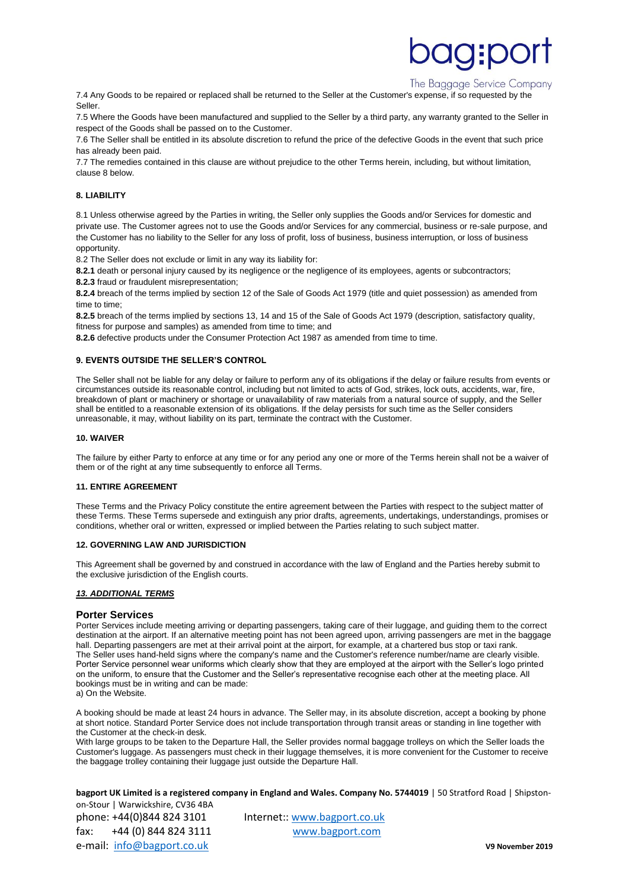# **g:po**

# The Baggage Service Company

7.4 Any Goods to be repaired or replaced shall be returned to the Seller at the Customer's expense, if so requested by the Seller.

7.5 Where the Goods have been manufactured and supplied to the Seller by a third party, any warranty granted to the Seller in respect of the Goods shall be passed on to the Customer.

7.6 The Seller shall be entitled in its absolute discretion to refund the price of the defective Goods in the event that such price has already been paid.

7.7 The remedies contained in this clause are without prejudice to the other Terms herein, including, but without limitation, clause 8 below.

### **8. LIABILITY**

8.1 Unless otherwise agreed by the Parties in writing, the Seller only supplies the Goods and/or Services for domestic and private use. The Customer agrees not to use the Goods and/or Services for any commercial, business or re-sale purpose, and the Customer has no liability to the Seller for any loss of profit, loss of business, business interruption, or loss of business opportunity.

8.2 The Seller does not exclude or limit in any way its liability for:

**8.2.1** death or personal injury caused by its negligence or the negligence of its employees, agents or subcontractors;

**8.2.3** fraud or fraudulent misrepresentation;

**8.2.4** breach of the terms implied by section 12 of the Sale of Goods Act 1979 (title and quiet possession) as amended from time to time;

**8.2.5** breach of the terms implied by sections 13, 14 and 15 of the Sale of Goods Act 1979 (description, satisfactory quality, fitness for purpose and samples) as amended from time to time; and

**8.2.6** defective products under the Consumer Protection Act 1987 as amended from time to time.

#### **9. EVENTS OUTSIDE THE SELLER'S CONTROL**

The Seller shall not be liable for any delay or failure to perform any of its obligations if the delay or failure results from events or circumstances outside its reasonable control, including but not limited to acts of God, strikes, lock outs, accidents, war, fire, breakdown of plant or machinery or shortage or unavailability of raw materials from a natural source of supply, and the Seller shall be entitled to a reasonable extension of its obligations. If the delay persists for such time as the Seller considers unreasonable, it may, without liability on its part, terminate the contract with the Customer.

#### **10. WAIVER**

The failure by either Party to enforce at any time or for any period any one or more of the Terms herein shall not be a waiver of them or of the right at any time subsequently to enforce all Terms.

#### **11. ENTIRE AGREEMENT**

These Terms and the Privacy Policy constitute the entire agreement between the Parties with respect to the subject matter of these Terms. These Terms supersede and extinguish any prior drafts, agreements, undertakings, understandings, promises or conditions, whether oral or written, expressed or implied between the Parties relating to such subject matter.

#### **12. GOVERNING LAW AND JURISDICTION**

This Agreement shall be governed by and construed in accordance with the law of England and the Parties hereby submit to the exclusive jurisdiction of the English courts.

#### *13. ADDITIONAL TERMS*

#### **Porter Services**

Porter Services include meeting arriving or departing passengers, taking care of their luggage, and guiding them to the correct destination at the airport. If an alternative meeting point has not been agreed upon, arriving passengers are met in the baggage hall. Departing passengers are met at their arrival point at the airport, for example, at a chartered bus stop or taxi rank. The Seller uses hand-held signs where the company's name and the Customer's reference number/name are clearly visible. Porter Service personnel wear uniforms which clearly show that they are employed at the airport with the Seller's logo printed on the uniform, to ensure that the Customer and the Seller's representative recognise each other at the meeting place. All bookings must be in writing and can be made:

A booking should be made at least 24 hours in advance. The Seller may, in its absolute discretion, accept a booking by phone at short notice. Standard Porter Service does not include transportation through transit areas or standing in line together with the Customer at the check-in desk.

With large groups to be taken to the Departure Hall, the Seller provides normal baggage trolleys on which the Seller loads the Customer's luggage. As passengers must check in their luggage themselves, it is more convenient for the Customer to receive the baggage trolley containing their luggage just outside the Departure Hall.

**bagport UK Limited is a registered company in England and Wales. Company No. 5744019 | 50 Stratford Road | Shipston-**

on-Stour | Warwickshire, CV36 4BA phone: +44(0)844 824 3101 Internet:: [www.bagport.co.uk](http://www.bagport.co.uk/) fax: +44 (0) 844 824 3111 [www.bagport.com](http://www.bagport.com/)  e-mail: [info@bagport.co.uk](mailto:info@bagport.co.uk) **V9 November 2019**

a) On the Website.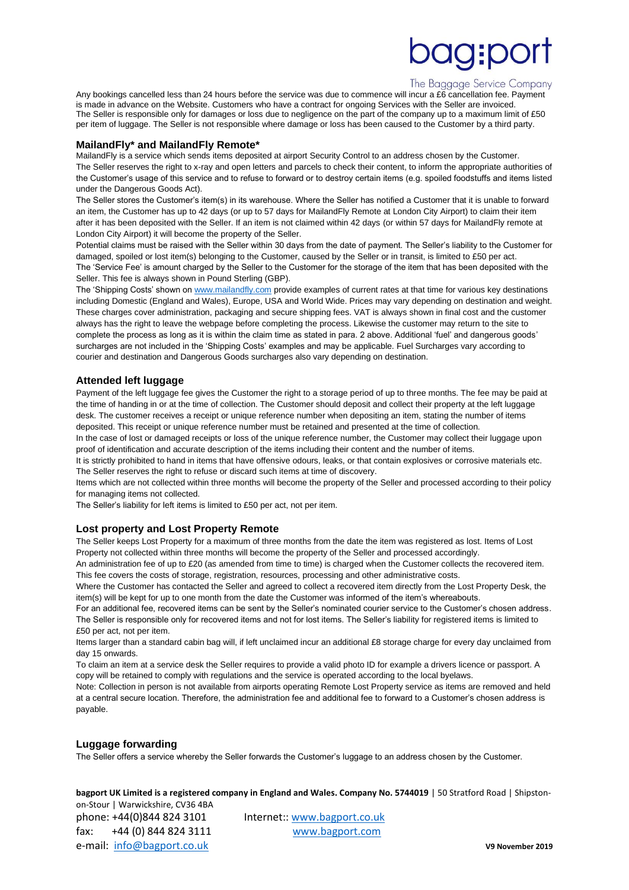# **OQ:DO**

# The Baggage Service Company

Any bookings cancelled less than 24 hours before the service was due to commence will incur a £6 cancellation fee. Payment is made in advance on the Website. Customers who have a contract for ongoing Services with the Seller are invoiced. The Seller is responsible only for damages or loss due to negligence on the part of the company up to a maximum limit of £50 per item of luggage. The Seller is not responsible where damage or loss has been caused to the Customer by a third party.

# **MailandFly\* and MailandFly Remote\***

MailandFly is a service which sends items deposited at airport Security Control to an address chosen by the Customer. The Seller reserves the right to x-ray and open letters and parcels to check their content, to inform the appropriate authorities of the Customer's usage of this service and to refuse to forward or to destroy certain items (e.g. spoiled foodstuffs and items listed under the Dangerous Goods Act).

The Seller stores the Customer's item(s) in its warehouse. Where the Seller has notified a Customer that it is unable to forward an item, the Customer has up to 42 days (or up to 57 days for MailandFly Remote at London City Airport) to claim their item after it has been deposited with the Seller. If an item is not claimed within 42 days (or within 57 days for MailandFly remote at London City Airport) it will become the property of the Seller.

Potential claims must be raised with the Seller within 30 days from the date of payment. The Seller's liability to the Customer for damaged, spoiled or lost item(s) belonging to the Customer, caused by the Seller or in transit, is limited to £50 per act. The 'Service Fee' is amount charged by the Seller to the Customer for the storage of the item that has been deposited with the Seller. This fee is always shown in Pound Sterling (GBP).

The 'Shipping Costs' shown on [www.mailandfly.com](http://www.mailandfly.com/) provide examples of current rates at that time for various key destinations including Domestic (England and Wales), Europe, USA and World Wide. Prices may vary depending on destination and weight. These charges cover administration, packaging and secure shipping fees. VAT is always shown in final cost and the customer always has the right to leave the webpage before completing the process. Likewise the customer may return to the site to complete the process as long as it is within the claim time as stated in para. 2 above. Additional 'fuel' and dangerous goods' surcharges are not included in the 'Shipping Costs' examples and may be applicable. Fuel Surcharges vary according to courier and destination and Dangerous Goods surcharges also vary depending on destination.

# **Attended left luggage**

Payment of the left luggage fee gives the Customer the right to a storage period of up to three months. The fee may be paid at the time of handing in or at the time of collection. The Customer should deposit and collect their property at the left luggage desk. The customer receives a receipt or unique reference number when depositing an item, stating the number of items deposited. This receipt or unique reference number must be retained and presented at the time of collection.

In the case of lost or damaged receipts or loss of the unique reference number, the Customer may collect their luggage upon proof of identification and accurate description of the items including their content and the number of items.

It is strictly prohibited to hand in items that have offensive odours, leaks, or that contain explosives or corrosive materials etc. The Seller reserves the right to refuse or discard such items at time of discovery.

Items which are not collected within three months will become the property of the Seller and processed according to their policy for managing items not collected.

The Seller's liability for left items is limited to £50 per act, not per item.

# **Lost property and Lost Property Remote**

The Seller keeps Lost Property for a maximum of three months from the date the item was registered as lost. Items of Lost Property not collected within three months will become the property of the Seller and processed accordingly.

An administration fee of up to £20 (as amended from time to time) is charged when the Customer collects the recovered item. This fee covers the costs of storage, registration, resources, processing and other administrative costs.

Where the Customer has contacted the Seller and agreed to collect a recovered item directly from the Lost Property Desk, the item(s) will be kept for up to one month from the date the Customer was informed of the item's whereabouts.

For an additional fee, recovered items can be sent by the Seller's nominated courier service to the Customer's chosen address. The Seller is responsible only for recovered items and not for lost items. The Seller's liability for registered items is limited to £50 per act, not per item.

Items larger than a standard cabin bag will, if left unclaimed incur an additional £8 storage charge for every day unclaimed from day 15 onwards.

To claim an item at a service desk the Seller requires to provide a valid photo ID for example a drivers licence or passport. A copy will be retained to comply with regulations and the service is operated according to the local byelaws.

Note: Collection in person is not available from airports operating Remote Lost Property service as items are removed and held at a central secure location. Therefore, the administration fee and additional fee to forward to a Customer's chosen address is payable.

# **Luggage forwarding**

The Seller offers a service whereby the Seller forwards the Customer's luggage to an address chosen by the Customer.

**bagport UK Limited is a registered company in England and Wales. Company No. 5744019 | 50 Stratford Road | Shipston-**

on-Stour | Warwickshire, CV36 4BA phone: +44(0)844 824 3101 Internet:: [www.bagport.co.uk](http://www.bagport.co.uk/) fax: +44 (0) 844 824 3111 [www.bagport.com](http://www.bagport.com/)  e-mail: [info@bagport.co.uk](mailto:info@bagport.co.uk) **V9 November 2019**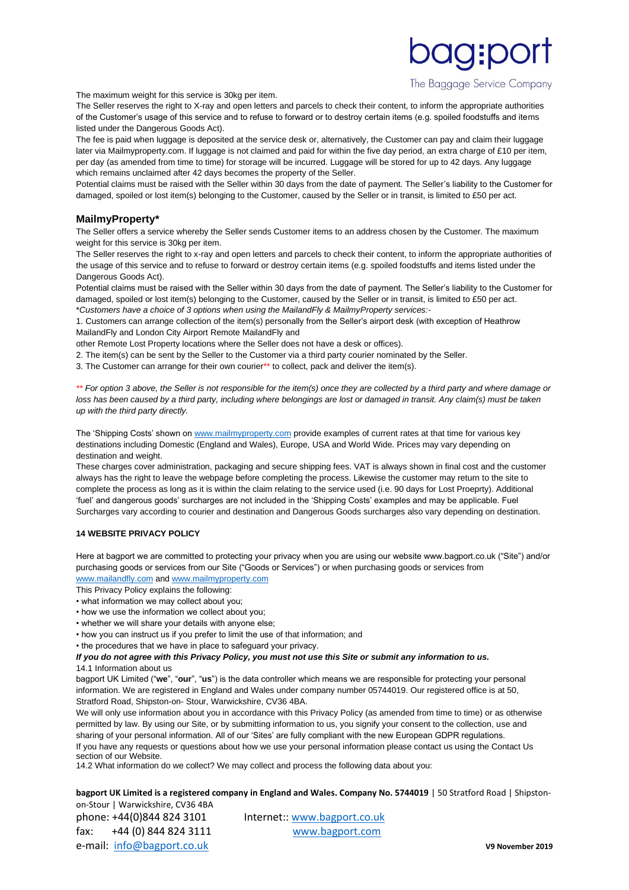The Baggage Service Company

**OQ:DC** 

The maximum weight for this service is 30kg per item.

The Seller reserves the right to X-ray and open letters and parcels to check their content, to inform the appropriate authorities of the Customer's usage of this service and to refuse to forward or to destroy certain items (e.g. spoiled foodstuffs and items listed under the Dangerous Goods Act).

The fee is paid when luggage is deposited at the service desk or, alternatively, the Customer can pay and claim their luggage later via Mailmyproperty.com. If luggage is not claimed and paid for within the five day period, an extra charge of £10 per item, per day (as amended from time to time) for storage will be incurred. Luggage will be stored for up to 42 days. Any luggage which remains unclaimed after 42 days becomes the property of the Seller.

Potential claims must be raised with the Seller within 30 days from the date of payment. The Seller's liability to the Customer for damaged, spoiled or lost item(s) belonging to the Customer, caused by the Seller or in transit, is limited to £50 per act.

# **MailmyProperty\***

The Seller offers a service whereby the Seller sends Customer items to an address chosen by the Customer. The maximum weight for this service is 30kg per item.

The Seller reserves the right to x-ray and open letters and parcels to check their content, to inform the appropriate authorities of the usage of this service and to refuse to forward or destroy certain items (e.g. spoiled foodstuffs and items listed under the Dangerous Goods Act).

Potential claims must be raised with the Seller within 30 days from the date of payment. The Seller's liability to the Customer for damaged, spoiled or lost item(s) belonging to the Customer, caused by the Seller or in transit, is limited to £50 per act. \**Customers have a choice of 3 options when using the MailandFly & MailmyProperty services:-*

1. Customers can arrange collection of the item(s) personally from the Seller's airport desk (with exception of Heathrow MailandFly and London City Airport Remote MailandFly and

other Remote Lost Property locations where the Seller does not have a desk or offices).

2. The item(s) can be sent by the Seller to the Customer via a third party courier nominated by the Seller.

3. The Customer can arrange for their own courier\*\* to collect, pack and deliver the item(s).

*\*\* For option 3 above, the Seller is not responsible for the item(s) once they are collected by a third party and where damage or loss has been caused by a third party, including where belongings are lost or damaged in transit. Any claim(s) must be taken up with the third party directly.* 

The 'Shipping Costs' shown on [www.mailmyproperty.com](http://www.mailmyproperty.com/) provide examples of current rates at that time for various key destinations including Domestic (England and Wales), Europe, USA and World Wide. Prices may vary depending on destination and weight.

These charges cover administration, packaging and secure shipping fees. VAT is always shown in final cost and the customer always has the right to leave the webpage before completing the process. Likewise the customer may return to the site to complete the process as long as it is within the claim relating to the service used (i.e. 90 days for Lost Proeprty). Additional 'fuel' and dangerous goods' surcharges are not included in the 'Shipping Costs' examples and may be applicable. Fuel Surcharges vary according to courier and destination and Dangerous Goods surcharges also vary depending on destination.

#### **14 WEBSITE PRIVACY POLICY**

Here at bagport we are committed to protecting your privacy when you are using our website www.bagport.co.uk ("Site") and/or purchasing goods or services from our Site ("Goods or Services") or when purchasing goods or services from [www.mailandfly.com](http://www.mailandfly.com/) an[d www.mailmyproperty.com](http://www.mailmyproperty.com/)

This Privacy Policy explains the following:

- what information we may collect about you;
- how we use the information we collect about you;
- whether we will share your details with anyone else;
- 
- how you can instruct us if you prefer to limit the use of that information; and
- the procedures that we have in place to safeguard your privacy.

# *If you do not agree with this Privacy Policy, you must not use this Site or submit any information to us.*  14.1 Information about us

bagport UK Limited ("**we**", "**our**", "**us**") is the data controller which means we are responsible for protecting your personal information. We are registered in England and Wales under company number 05744019. Our registered office is at 50, Stratford Road, Shipston-on- Stour, Warwickshire, CV36 4BA.

We will only use information about you in accordance with this Privacy Policy (as amended from time to time) or as otherwise permitted by law. By using our Site, or by submitting information to us, you signify your consent to the collection, use and sharing of your personal information. All of our 'Sites' are fully compliant with the new European GDPR regulations. If you have any requests or questions about how we use your personal information please contact us using the Contact Us section of our Website.

14.2 What information do we collect? We may collect and process the following data about you:

**bagport UK Limited is a registered company in England and Wales. Company No. 5744019 | 50 Stratford Road | Shipston**on-Stour | Warwickshire, CV36 4BA

phone: +44(0)844 824 3101 Internet:: [www.bagport.co.uk](http://www.bagport.co.uk/) fax: +44 (0) 844 824 3111 [www.bagport.com](http://www.bagport.com/)  e-mail: [info@bagport.co.uk](mailto:info@bagport.co.uk) **V9 November 2019**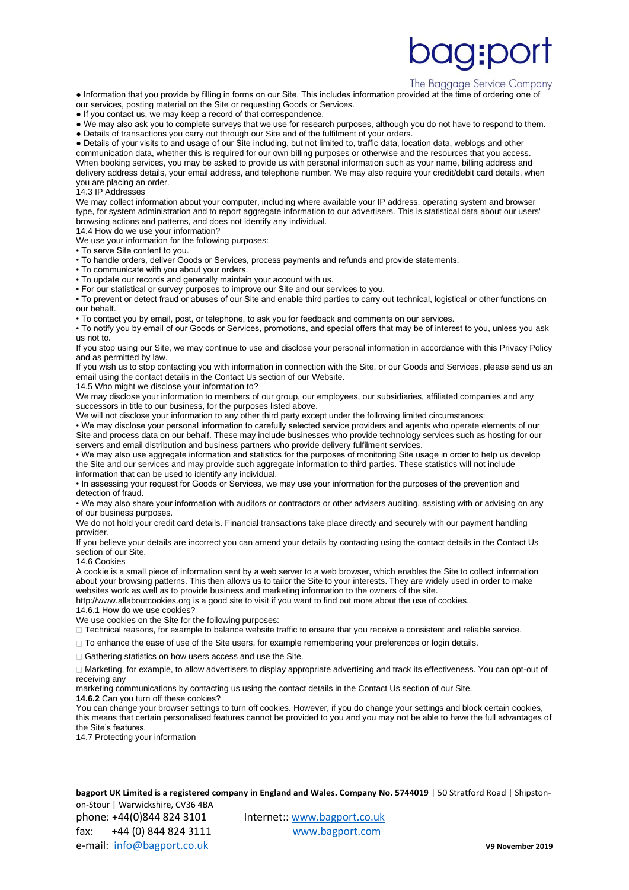# **IQ:DO**

#### The Baggage Service Company

● Information that you provide by filling in forms on our Site. This includes information provided at the time of ordering one of our services, posting material on the Site or requesting Goods or Services.

● If you contact us, we may keep a record of that correspondence.

● We may also ask you to complete surveys that we use for research purposes, although you do not have to respond to them. ● Details of transactions you carry out through our Site and of the fulfilment of your orders.

● Details of your visits to and usage of our Site including, but not limited to, traffic data, location data, weblogs and other communication data, whether this is required for our own billing purposes or otherwise and the resources that you access. When booking services, you may be asked to provide us with personal information such as your name, billing address and delivery address details, your email address, and telephone number. We may also require your credit/debit card details, when you are placing an order.

14.3 IP Addresses

We may collect information about your computer, including where available your IP address, operating system and browser type, for system administration and to report aggregate information to our advertisers. This is statistical data about our users' browsing actions and patterns, and does not identify any individual. 14.4 How do we use your information?

We use your information for the following purposes:

• To serve Site content to you.

• To handle orders, deliver Goods or Services, process payments and refunds and provide statements.

• To communicate with you about your orders.

• To update our records and generally maintain your account with us.

• For our statistical or survey purposes to improve our Site and our services to you.

• To prevent or detect fraud or abuses of our Site and enable third parties to carry out technical, logistical or other functions on our behalf.

• To contact you by email, post, or telephone, to ask you for feedback and comments on our services.

• To notify you by email of our Goods or Services, promotions, and special offers that may be of interest to you, unless you ask us not to.

If you stop using our Site, we may continue to use and disclose your personal information in accordance with this Privacy Policy and as permitted by law.

If you wish us to stop contacting you with information in connection with the Site, or our Goods and Services, please send us an email using the contact details in the Contact Us section of our Website.

14.5 Who might we disclose your information to?

We may disclose your information to members of our group, our employees, our subsidiaries, affiliated companies and any successors in title to our business, for the purposes listed above.

We will not disclose your information to any other third party except under the following limited circumstances:

• We may disclose your personal information to carefully selected service providers and agents who operate elements of our Site and process data on our behalf. These may include businesses who provide technology services such as hosting for our servers and email distribution and business partners who provide delivery fulfilment services.

• We may also use aggregate information and statistics for the purposes of monitoring Site usage in order to help us develop the Site and our services and may provide such aggregate information to third parties. These statistics will not include information that can be used to identify any individual.

• In assessing your request for Goods or Services, we may use your information for the purposes of the prevention and detection of fraud.

• We may also share your information with auditors or contractors or other advisers auditing, assisting with or advising on any of our business purposes.

We do not hold your credit card details. Financial transactions take place directly and securely with our payment handling provider.

If you believe your details are incorrect you can amend your details by contacting using the contact details in the Contact Us section of our Site.

14.6 Cookies

A cookie is a small piece of information sent by a web server to a web browser, which enables the Site to collect information about your browsing patterns. This then allows us to tailor the Site to your interests. They are widely used in order to make websites work as well as to provide business and marketing information to the owners of the site.

http://www.allaboutcookies.org is a good site to visit if you want to find out more about the use of cookies.

14.6.1 How do we use cookies?

We use cookies on the Site for the following purposes:

Technical reasons, for example to balance website traffic to ensure that you receive a consistent and reliable service.

 $\Box$  To enhance the ease of use of the Site users, for example remembering your preferences or login details.

□ Gathering statistics on how users access and use the Site.

Marketing, for example, to allow advertisers to display appropriate advertising and track its effectiveness. You can opt-out of receiving any

marketing communications by contacting us using the contact details in the Contact Us section of our Site.

**14.6.2** Can you turn off these cookies?

You can change your browser settings to turn off cookies. However, if you do change your settings and block certain cookies, this means that certain personalised features cannot be provided to you and you may not be able to have the full advantages of the Site's features.

14.7 Protecting your information

**bagport UK Limited is a registered company in England and Wales. Company No. 5744019 | 50 Stratford Road | Shipston**on-Stour | Warwickshire, CV36 4BA